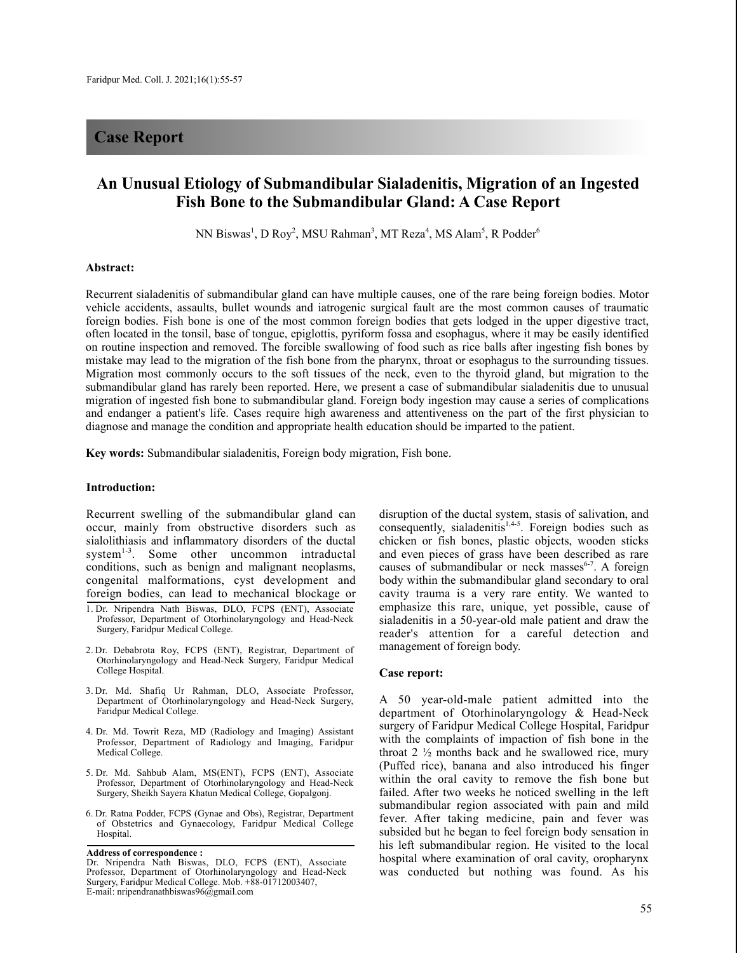## **Case Report**

# **An Unusual Etiology of Submandibular Sialadenitis, Migration of an Ingested Fish Bone to the Submandibular Gland: A Case Report**

NN Biswas<sup>1</sup>, D Roy<sup>2</sup>, MSU Rahman<sup>3</sup>, MT Reza<sup>4</sup>, MS Alam<sup>5</sup>, R Podder<sup>6</sup>

#### **Abstract:**

Recurrent sialadenitis of submandibular gland can have multiple causes, one of the rare being foreign bodies. Motor vehicle accidents, assaults, bullet wounds and iatrogenic surgical fault are the most common causes of traumatic foreign bodies. Fish bone is one of the most common foreign bodies that gets lodged in the upper digestive tract, often located in the tonsil, base of tongue, epiglottis, pyriform fossa and esophagus, where it may be easily identified on routine inspection and removed. The forcible swallowing of food such as rice balls after ingesting fish bones by mistake may lead to the migration of the fish bone from the pharynx, throat or esophagus to the surrounding tissues. Migration most commonly occurs to the soft tissues of the neck, even to the thyroid gland, but migration to the submandibular gland has rarely been reported. Here, we present a case of submandibular sialadenitis due to unusual migration of ingested fish bone to submandibular gland. Foreign body ingestion may cause a series of complications and endanger a patient's life. Cases require high awareness and attentiveness on the part of the first physician to diagnose and manage the condition and appropriate health education should be imparted to the patient.

**Key words:** Submandibular sialadenitis, Foreign body migration, Fish bone.

### **Introduction:**

Recurrent swelling of the submandibular gland can occur, mainly from obstructive disorders such as sialolithiasis and inflammatory disorders of the ductal system<sup>1-3</sup>. Some other uncommon intraductal conditions, such as benign and malignant neoplasms, congenital malformations, cyst development and foreign bodies, can lead to mechanical blockage or

- 2. Dr. Debabrota Roy, FCPS (ENT), Registrar, Department of Otorhinolaryngology and Head-Neck Surgery, Faridpur Medical College Hospital.
- 3. Dr. Md. Shafiq Ur Rahman, DLO, Associate Professor, Department of Otorhinolaryngology and Head-Neck Surgery, Faridpur Medical College.
- 4. Dr. Md. Towrit Reza, MD (Radiology and Imaging) Assistant Professor, Department of Radiology and Imaging, Faridpur Medical College.
- 5. Dr. Md. Sahbub Alam, MS(ENT), FCPS (ENT), Associate Professor, Department of Otorhinolaryngology and Head-Neck Surgery, Sheikh Sayera Khatun Medical College, Gopalgonj.
- 6. Dr. Ratna Podder, FCPS (Gynae and Obs), Registrar, Department of Obstetrics and Gynaecology, Faridpur Medical College Hospital.

**Address of correspondence :**

disruption of the ductal system, stasis of salivation, and consequently, sialadenitis<sup>1,4-5</sup>. Foreign bodies such as chicken or fish bones, plastic objects, wooden sticks and even pieces of grass have been described as rare causes of submandibular or neck masses<sup>6-7</sup>. A foreign body within the submandibular gland secondary to oral cavity trauma is a very rare entity. We wanted to emphasize this rare, unique, yet possible, cause of sialadenitis in a 50-year-old male patient and draw the reader's attention for a careful detection and management of foreign body.

## **Case report:**

A 50 year-old-male patient admitted into the department of Otorhinolaryngology & Head-Neck surgery of Faridpur Medical College Hospital, Faridpur with the complaints of impaction of fish bone in the throat 2 ½ months back and he swallowed rice, mury (Puffed rice), banana and also introduced his finger within the oral cavity to remove the fish bone but failed. After two weeks he noticed swelling in the left submandibular region associated with pain and mild fever. After taking medicine, pain and fever was subsided but he began to feel foreign body sensation in his left submandibular region. He visited to the local hospital where examination of oral cavity, oropharynx was conducted but nothing was found. As his

<sup>1.</sup> Dr. Nripendra Nath Biswas, DLO, FCPS (ENT), Associate Professor, Department of Otorhinolaryngology and Head-Neck Surgery, Faridpur Medical College.

Dr. Nripendra Nath Biswas, DLO, FCPS (ENT), Associate Professor, Department of Otorhinolaryngology and Head-Neck Surgery, Faridpur Medical College. Mob. +88-01712003407, E-mail: nripendranathbiswas96@gmail.com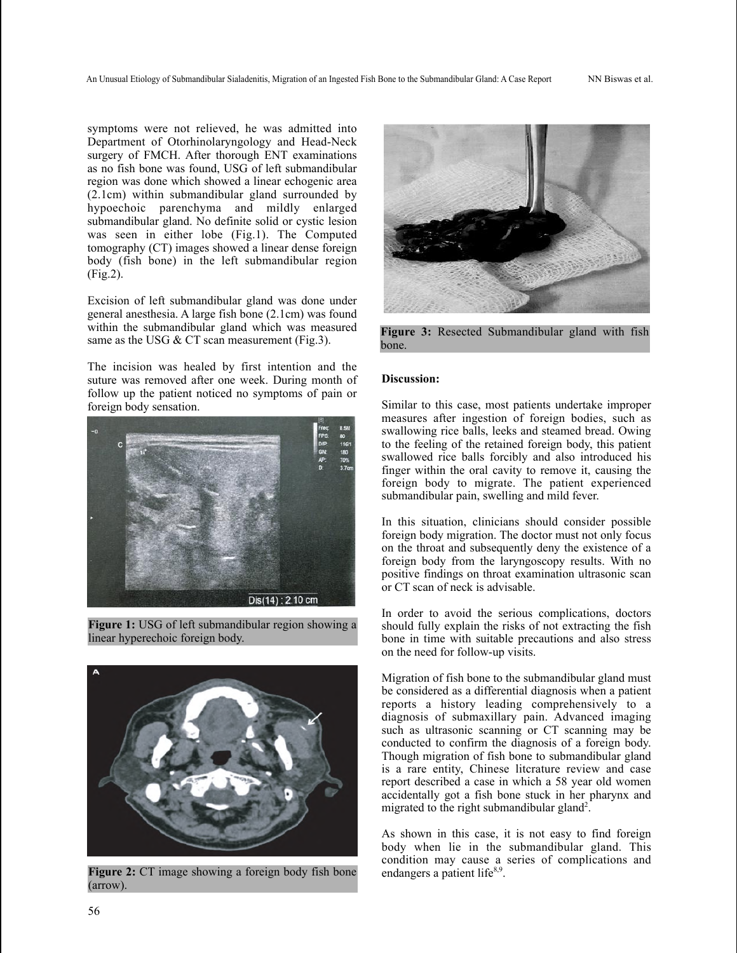An Unusual Etiology of Submandibular Sialadenitis, Migration of an Ingested Fish Bone to the Submandibular Gland: A Case Report NN Biswas et al.

symptoms were not relieved, he was admitted into Department of Otorhinolaryngology and Head-Neck surgery of FMCH. After thorough ENT examinations as no fish bone was found, USG of left submandibular region was done which showed a linear echogenic area (2.1cm) within submandibular gland surrounded by hypoechoic parenchyma and mildly enlarged submandibular gland. No definite solid or cystic lesion was seen in either lobe (Fig.1). The Computed tomography (CT) images showed a linear dense foreign body (fish bone) in the left submandibular region (Fig.2).

Excision of left submandibular gland was done under general anesthesia. A large fish bone (2.1cm) was found within the submandibular gland which was measured same as the USG & CT scan measurement (Fig.3).

The incision was healed by first intention and the suture was removed after one week. During month of follow up the patient noticed no symptoms of pain or foreign body sensation.



**Figure 1:** USG of left submandibular region showing a linear hyperechoic foreign body.



**Figure 2:** CT image showing a foreign body fish bone (arrow).



**Figure 3:** Resected Submandibular gland with fish bone.

## **Discussion:**

Similar to this case, most patients undertake improper measures after ingestion of foreign bodies, such as swallowing rice balls, leeks and steamed bread. Owing to the feeling of the retained foreign body, this patient swallowed rice balls forcibly and also introduced his finger within the oral cavity to remove it, causing the foreign body to migrate. The patient experienced submandibular pain, swelling and mild fever.

In this situation, clinicians should consider possible foreign body migration. The doctor must not only focus on the throat and subsequently deny the existence of a foreign body from the laryngoscopy results. With no positive findings on throat examination ultrasonic scan or CT scan of neck is advisable.

In order to avoid the serious complications, doctors should fully explain the risks of not extracting the fish bone in time with suitable precautions and also stress on the need for follow-up visits.

Migration of fish bone to the submandibular gland must be considered as a differential diagnosis when a patient reports a history leading comprehensively to a diagnosis of submaxillary pain. Advanced imaging such as ultrasonic scanning or CT scanning may be conducted to confirm the diagnosis of a foreign body. Though migration of fish bone to submandibular gland is a rare entity, Chinese litcrature review and case report described a case in which a 58 year old women accidentally got a fish bone stuck in her pharynx and migrated to the right submandibular gland<sup>2</sup>.

As shown in this case, it is not easy to find foreign body when lie in the submandibular gland. This condition may cause a series of complications and endangers a patient life<sup>8,9</sup>.